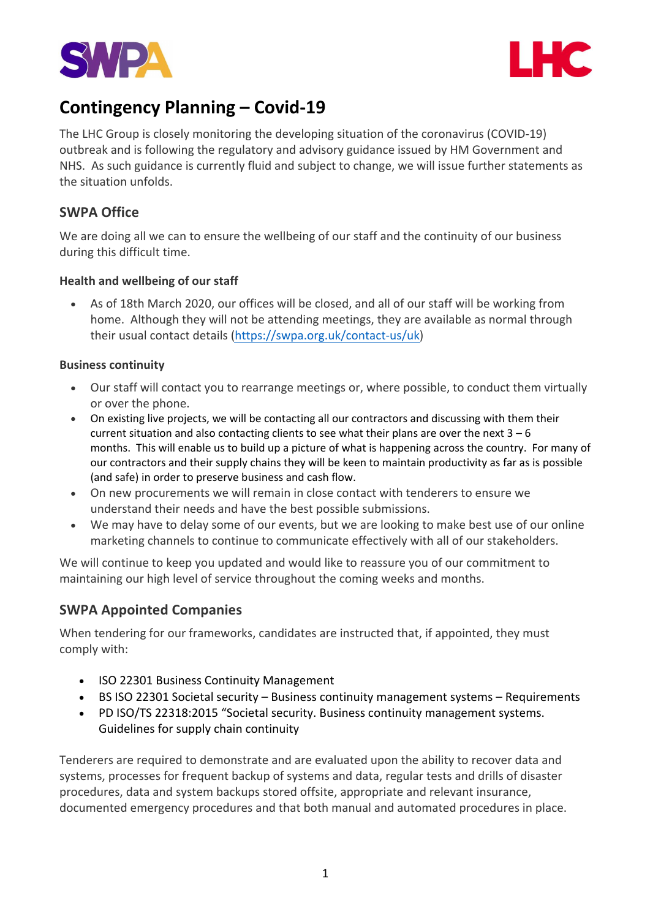



# **Contingency Planning – Covid-19**

The LHC Group is closely monitoring the developing situation of the coronavirus (COVID-19) outbreak and is following the regulatory and advisory guidance issued by HM Government and NHS. As such guidance is currently fluid and subject to change, we will issue further statements as the situation unfolds.

## **SWPA Office**

We are doing all we can to ensure the wellbeing of our staff and the continuity of our business during this difficult time.

#### **Health and wellbeing of our staff**

• As of 18th March 2020, our offices will be closed, and all of our staff will be working from home. Although they will not be attending meetings, they are available as normal through their usual contact details (https://swpa.org.uk/contact-us/uk)

#### **Business continuity**

- Our staff will contact you to rearrange meetings or, where possible, to conduct them virtually or over the phone.
- On existing live projects, we will be contacting all our contractors and discussing with them their current situation and also contacting clients to see what their plans are over the next  $3 - 6$ months. This will enable us to build up a picture of what is happening across the country. For many of our contractors and their supply chains they will be keen to maintain productivity as far as is possible (and safe) in order to preserve business and cash flow.
- On new procurements we will remain in close contact with tenderers to ensure we understand their needs and have the best possible submissions.
- We may have to delay some of our events, but we are looking to make best use of our online marketing channels to continue to communicate effectively with all of our stakeholders.

We will continue to keep you updated and would like to reassure you of our commitment to maintaining our high level of service throughout the coming weeks and months.

### **SWPA Appointed Companies**

When tendering for our frameworks, candidates are instructed that, if appointed, they must comply with:

- ISO 22301 Business Continuity Management
- BS ISO 22301 Societal security Business continuity management systems Requirements
- PD ISO/TS 22318:2015 "Societal security. Business continuity management systems. Guidelines for supply chain continuity

Tenderers are required to demonstrate and are evaluated upon the ability to recover data and systems, processes for frequent backup of systems and data, regular tests and drills of disaster procedures, data and system backups stored offsite, appropriate and relevant insurance, documented emergency procedures and that both manual and automated procedures in place.